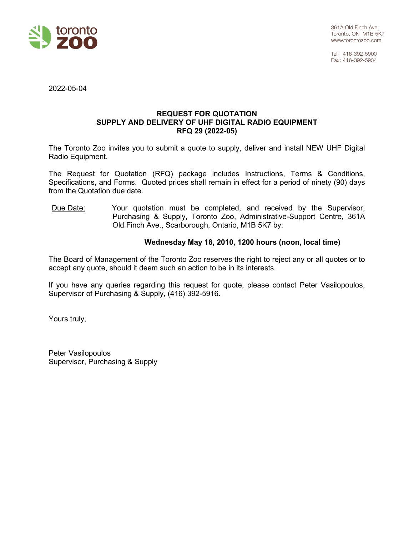

Tel: 416-392-5900 Fax: 416-392-5934

2022-05-04

### **REQUEST FOR QUOTATION SUPPLY AND DELIVERY OF UHF DIGITAL RADIO EQUIPMENT RFQ 29 (2022-05)**

The Toronto Zoo invites you to submit a quote to supply, deliver and install NEW UHF Digital Radio Equipment.

The Request for Quotation (RFQ) package includes Instructions, Terms & Conditions, Specifications, and Forms. Quoted prices shall remain in effect for a period of ninety (90) days from the Quotation due date.

Due Date: Your quotation must be completed, and received by the Supervisor, Purchasing & Supply, Toronto Zoo, Administrative-Support Centre, 361A Old Finch Ave., Scarborough, Ontario, M1B 5K7 by:

# **Wednesday May 18, 2010, 1200 hours (noon, local time)**

The Board of Management of the Toronto Zoo reserves the right to reject any or all quotes or to accept any quote, should it deem such an action to be in its interests.

If you have any queries regarding this request for quote, please contact Peter Vasilopoulos, Supervisor of Purchasing & Supply, (416) 392-5916.

Yours truly,

Peter Vasilopoulos Supervisor, Purchasing & Supply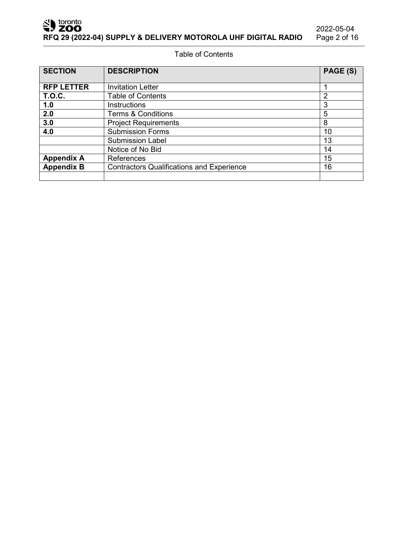2022-05-04<br>Page 2 of 16

Table of Contents

| <b>SECTION</b>          | <b>DESCRIPTION</b>                               | PAGE (S) |
|-------------------------|--------------------------------------------------|----------|
| <b>RFP LETTER</b>       | <b>Invitation Letter</b>                         |          |
|                         |                                                  |          |
| <b>T.O.C.</b>           | <b>Table of Contents</b>                         | 2        |
| 1.0                     | <b>Instructions</b>                              | 3        |
| 2.0                     | <b>Terms &amp; Conditions</b>                    | 5        |
| 3.0                     | <b>Project Requirements</b>                      | 8        |
| 4.0                     | <b>Submission Forms</b>                          | 10       |
| <b>Submission Label</b> |                                                  | 13       |
|                         | Notice of No Bid                                 | 14       |
| <b>Appendix A</b>       | References                                       |          |
| <b>Appendix B</b>       | <b>Contractors Qualifications and Experience</b> |          |
|                         |                                                  |          |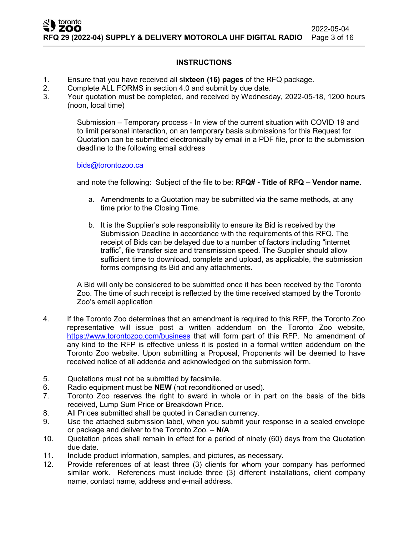# **INSTRUCTIONS**

- 1. Ensure that you have received all s**ixteen (16) pages** of the RFQ package.
- 2. Complete ALL FORMS in section 4.0 and submit by due date.<br>3. Your quotation must be completed and received by Wednesd
- 3. Your quotation must be completed, and received by Wednesday, 2022-05-18, 1200 hours (noon, local time)

Submission – Temporary process - In view of the current situation with COVID 19 and to limit personal interaction, on an temporary basis submissions for this Request for Quotation can be submitted electronically by email in a PDF file, prior to the submission deadline to the following email address

### [bids@torontozoo.ca](mailto:bids@torontozoo.ca)

and note the following: Subject of the file to be: **RFQ# - Title of RFQ – Vendor name.**

- a. Amendments to a Quotation may be submitted via the same methods, at any time prior to the Closing Time.
- b. It is the Supplier's sole responsibility to ensure its Bid is received by the Submission Deadline in accordance with the requirements of this RFQ. The receipt of Bids can be delayed due to a number of factors including "internet traffic", file transfer size and transmission speed. The Supplier should allow sufficient time to download, complete and upload, as applicable, the submission forms comprising its Bid and any attachments.

A Bid will only be considered to be submitted once it has been received by the Toronto Zoo. The time of such receipt is reflected by the time received stamped by the Toronto Zoo's email application

- 4. If the Toronto Zoo determines that an amendment is required to this RFP, the Toronto Zoo representative will issue post a written addendum on the Toronto Zoo website, <https://www.torontozoo.com/business> that will form part of this RFP. No amendment of any kind to the RFP is effective unless it is posted in a formal written addendum on the Toronto Zoo website. Upon submitting a Proposal, Proponents will be deemed to have received notice of all addenda and acknowledged on the submission form.
- 5. Quotations must not be submitted by facsimile.
- 6. Radio equipment must be **NEW** (not reconditioned or used).
- 7. Toronto Zoo reserves the right to award in whole or in part on the basis of the bids received, Lump Sum Price or Breakdown Price.
- 8. All Prices submitted shall be quoted in Canadian currency.
- 9. Use the attached submission label, when you submit your response in a sealed envelope or package and deliver to the Toronto Zoo. – **N/A**
- 10. Quotation prices shall remain in effect for a period of ninety (60) days from the Quotation due date.
- 11. Include product information, samples, and pictures, as necessary.
- 12. Provide references of at least three (3) clients for whom your company has performed similar work. References must include three (3) different installations, client company name, contact name, address and e-mail address.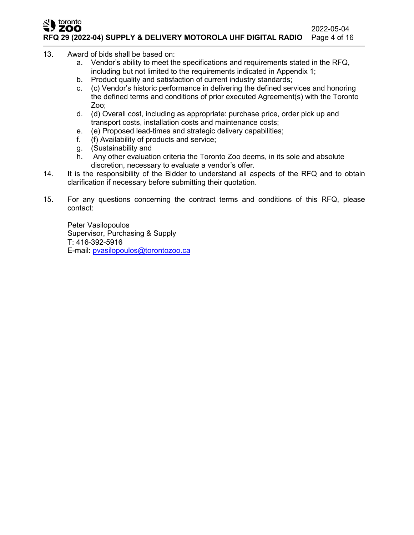#### toronto ZOO 2022-05-04<br>Page 4 of 16 **RFQ 29 (2022-04) SUPPLY & DELIVERY MOTOROLA UHF DIGITAL RADIO**

- 13. Award of bids shall be based on:
	- a. Vendor's ability to meet the specifications and requirements stated in the RFQ, including but not limited to the requirements indicated in Appendix 1;
	- b. Product quality and satisfaction of current industry standards;
	- c. (c) Vendor's historic performance in delivering the defined services and honoring the defined terms and conditions of prior executed Agreement(s) with the Toronto Zoo;
	- d. (d) Overall cost, including as appropriate: purchase price, order pick up and transport costs, installation costs and maintenance costs;
	- e. (e) Proposed lead-times and strategic delivery capabilities;
	- f. (f) Availability of products and service;
	- g. (Sustainability and
	- h. Any other evaluation criteria the Toronto Zoo deems, in its sole and absolute discretion, necessary to evaluate a vendor's offer.
- 14. It is the responsibility of the Bidder to understand all aspects of the RFQ and to obtain clarification if necessary before submitting their quotation.
- 15. For any questions concerning the contract terms and conditions of this RFQ, please contact:

Peter Vasilopoulos Supervisor, Purchasing & Supply T: 416-392-5916 E-mail: [pvasilopoulos@torontozoo.ca](mailto:pvasilopoulos@torontozoo.ca)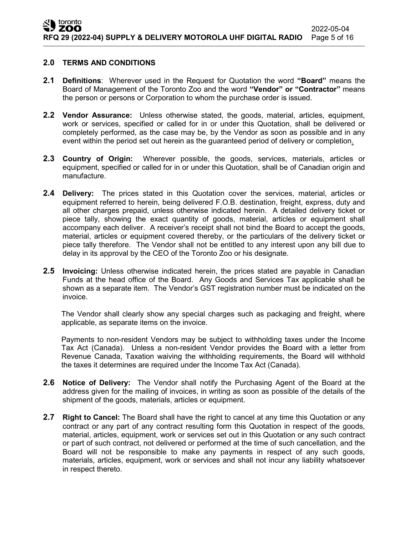### **2.0 TERMS AND CONDITIONS**

- **2.1 Definitions**: Wherever used in the Request for Quotation the word **"Board"** means the Board of Management of the Toronto Zoo and the word **"Vendor" or "Contractor"** means the person or persons or Corporation to whom the purchase order is issued.
- **2.2 Vendor Assurance:** Unless otherwise stated, the goods, material, articles, equipment, work or services, specified or called for in or under this Quotation, shall be delivered or completely performed, as the case may be, by the Vendor as soon as possible and in any event within the period set out herein as the guaranteed period of delivery or completion.
- **2.3 Country of Origin:** Wherever possible, the goods, services, materials, articles or equipment, specified or called for in or under this Quotation, shall be of Canadian origin and manufacture.
- **2.4 Delivery:** The prices stated in this Quotation cover the services, material, articles or equipment referred to herein, being delivered F.O.B. destination, freight, express, duty and all other charges prepaid, unless otherwise indicated herein. A detailed delivery ticket or piece tally, showing the exact quantity of goods, material, articles or equipment shall accompany each deliver. A receiver's receipt shall not bind the Board to accept the goods, material, articles or equipment covered thereby, or the particulars of the delivery ticket or piece tally therefore. The Vendor shall not be entitled to any interest upon any bill due to delay in its approval by the CEO of the Toronto Zoo or his designate.
- **2.5 Invoicing:** Unless otherwise indicated herein, the prices stated are payable in Canadian Funds at the head office of the Board. Any Goods and Services Tax applicable shall be shown as a separate item. The Vendor's GST registration number must be indicated on the invoice.

The Vendor shall clearly show any special charges such as packaging and freight, where applicable, as separate items on the invoice.

Payments to non-resident Vendors may be subject to withholding taxes under the Income Tax Act (Canada). Unless a non-resident Vendor provides the Board with a letter from Revenue Canada, Taxation waiving the withholding requirements, the Board will withhold the taxes it determines are required under the Income Tax Act (Canada).

- **2.6 Notice of Delivery:** The Vendor shall notify the Purchasing Agent of the Board at the address given for the mailing of invoices, in writing as soon as possible of the details of the shipment of the goods, materials, articles or equipment.
- **2.7 Right to Cancel:** The Board shall have the right to cancel at any time this Quotation or any contract or any part of any contract resulting form this Quotation in respect of the goods, material, articles, equipment, work or services set out in this Quotation or any such contract or part of such contract, not delivered or performed at the time of such cancellation, and the Board will not be responsible to make any payments in respect of any such goods, materials, articles, equipment, work or services and shall not incur any liability whatsoever in respect thereto.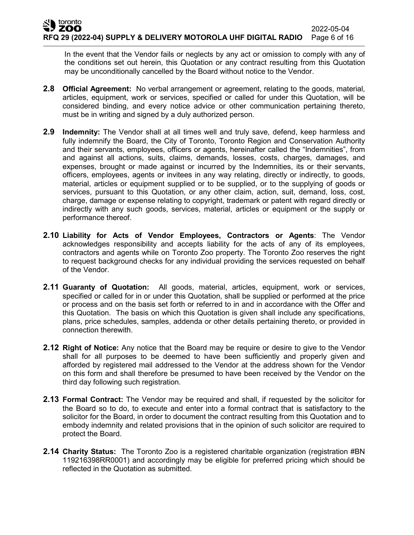In the event that the Vendor fails or neglects by any act or omission to comply with any of the conditions set out herein, this Quotation or any contract resulting from this Quotation may be unconditionally cancelled by the Board without notice to the Vendor.

- **2.8 Official Agreement:** No verbal arrangement or agreement, relating to the goods, material, articles, equipment, work or services, specified or called for under this Quotation, will be considered binding, and every notice advice or other communication pertaining thereto, must be in writing and signed by a duly authorized person.
- **2.9 Indemnity:** The Vendor shall at all times well and truly save, defend, keep harmless and fully indemnify the Board, the City of Toronto, Toronto Region and Conservation Authority and their servants, employees, officers or agents, hereinafter called the "Indemnities", from and against all actions, suits, claims, demands, losses, costs, charges, damages, and expenses, brought or made against or incurred by the Indemnities, its or their servants, officers, employees, agents or invitees in any way relating, directly or indirectly, to goods, material, articles or equipment supplied or to be supplied, or to the supplying of goods or services, pursuant to this Quotation, or any other claim, action, suit, demand, loss, cost, charge, damage or expense relating to copyright, trademark or patent with regard directly or indirectly with any such goods, services, material, articles or equipment or the supply or performance thereof.
- **2.10 Liability for Acts of Vendor Employees, Contractors or Agents**: The Vendor acknowledges responsibility and accepts liability for the acts of any of its employees, contractors and agents while on Toronto Zoo property. The Toronto Zoo reserves the right to request background checks for any individual providing the services requested on behalf of the Vendor.
- **2.11 Guaranty of Quotation:** All goods, material, articles, equipment, work or services, specified or called for in or under this Quotation, shall be supplied or performed at the price or process and on the basis set forth or referred to in and in accordance with the Offer and this Quotation. The basis on which this Quotation is given shall include any specifications, plans, price schedules, samples, addenda or other details pertaining thereto, or provided in connection therewith.
- **2.12 Right of Notice:** Any notice that the Board may be require or desire to give to the Vendor shall for all purposes to be deemed to have been sufficiently and properly given and afforded by registered mail addressed to the Vendor at the address shown for the Vendor on this form and shall therefore be presumed to have been received by the Vendor on the third day following such registration.
- **2.13 Formal Contract:** The Vendor may be required and shall, if requested by the solicitor for the Board so to do, to execute and enter into a formal contract that is satisfactory to the solicitor for the Board, in order to document the contract resulting from this Quotation and to embody indemnity and related provisions that in the opinion of such solicitor are required to protect the Board.
- **2.14 Charity Status:** The Toronto Zoo is a registered charitable organization (registration #BN 119216398RR0001) and accordingly may be eligible for preferred pricing which should be reflected in the Quotation as submitted.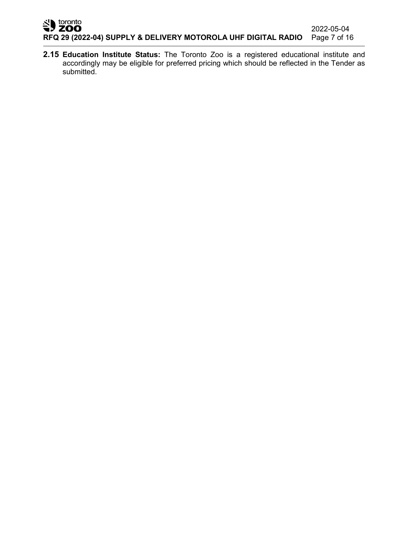**2.15 Education Institute Status:** The Toronto Zoo is a registered educational institute and accordingly may be eligible for preferred pricing which should be reflected in the Tender as submitted.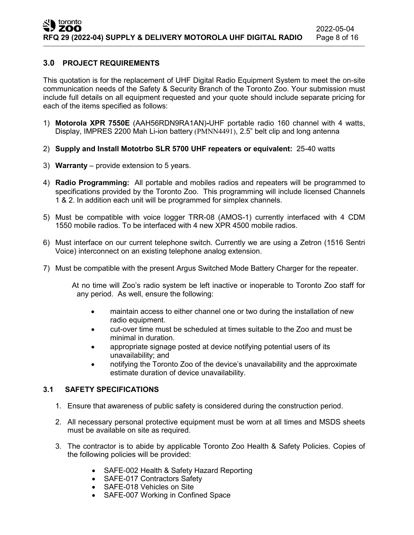# **3.0 PROJECT REQUIREMENTS**

This quotation is for the replacement of UHF Digital Radio Equipment System to meet the on-site communication needs of the Safety & Security Branch of the Toronto Zoo. Your submission must include full details on all equipment requested and your quote should include separate pricing for each of the items specified as follows:

- 1) **Motorola XPR 7550E** (AAH56RDN9RA1AN)**-**UHF portable radio 160 channel with 4 watts, Display, IMPRES 2200 Mah Li-ion battery (PMNN4491), 2.5" belt clip and long antenna
- 2) **Supply and Install Mototrbo SLR 5700 UHF repeaters or equivalent:** 25-40 watts
- 3) **Warranty** provide extension to 5 years.
- 4) **Radio Programming:** All portable and mobiles radios and repeaters will be programmed to specifications provided by the Toronto Zoo. This programming will include licensed Channels 1 & 2. In addition each unit will be programmed for simplex channels.
- 5) Must be compatible with voice logger TRR-08 (AMOS-1) currently interfaced with 4 CDM 1550 mobile radios. To be interfaced with 4 new XPR 4500 mobile radios.
- 6) Must interface on our current telephone switch. Currently we are using a Zetron (1516 Sentri Voice) interconnect on an existing telephone analog extension.
- 7) Must be compatible with the present Argus Switched Mode Battery Charger for the repeater.

At no time will Zoo's radio system be left inactive or inoperable to Toronto Zoo staff for any period. As well, ensure the following:

- maintain access to either channel one or two during the installation of new radio equipment.
- cut-over time must be scheduled at times suitable to the Zoo and must be minimal in duration.
- appropriate signage posted at device notifying potential users of its unavailability; and
- notifying the Toronto Zoo of the device's unavailability and the approximate estimate duration of device unavailability.

# **3.1 SAFETY SPECIFICATIONS**

- 1. Ensure that awareness of public safety is considered during the construction period.
- 2. All necessary personal protective equipment must be worn at all times and MSDS sheets must be available on site as required.
- 3. The contractor is to abide by applicable Toronto Zoo Health & Safety Policies. Copies of the following policies will be provided:
	- SAFE-002 Health & Safety Hazard Reporting
	- SAFE-017 Contractors Safety
	- SAFE-018 Vehicles on Site
	- SAFE-007 Working in Confined Space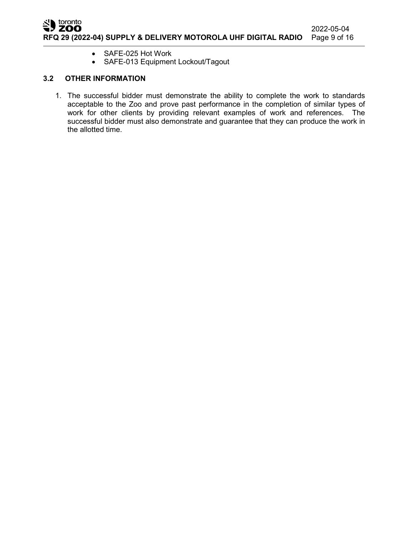

- SAFE-025 Hot Work
- SAFE-013 Equipment Lockout/Tagout

# **3.2 OTHER INFORMATION**

1. The successful bidder must demonstrate the ability to complete the work to standards acceptable to the Zoo and prove past performance in the completion of similar types of work for other clients by providing relevant examples of work and references. The successful bidder must also demonstrate and guarantee that they can produce the work in the allotted time.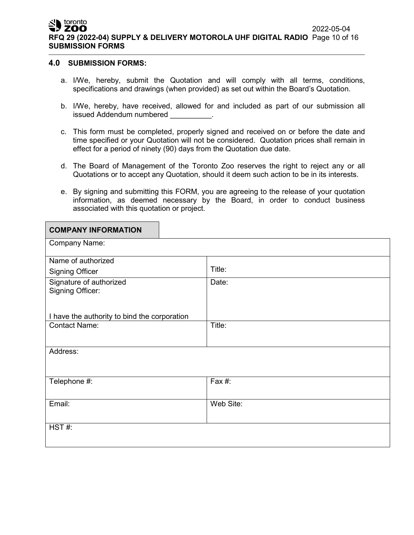toronto ZOO 2022-05-04 **RFQ 29 (2022-04) SUPPLY & DELIVERY MOTOROLA UHF DIGITAL RADIO** Page 10 of 16 **SUBMISSION FORMS**

### **4.0 SUBMISSION FORMS:**

**COMPANY INFORMATION**

- a. I/We, hereby, submit the Quotation and will comply with all terms, conditions, specifications and drawings (when provided) as set out within the Board's Quotation.
- b. I/We, hereby, have received, allowed for and included as part of our submission all issued Addendum numbered **with the State** of the set of the set of the set of the set of the set of the set of t
- c. This form must be completed, properly signed and received on or before the date and time specified or your Quotation will not be considered. Quotation prices shall remain in effect for a period of ninety (90) days from the Quotation due date.
- d. The Board of Management of the Toronto Zoo reserves the right to reject any or all Quotations or to accept any Quotation, should it deem such action to be in its interests.
- e. By signing and submitting this FORM, you are agreeing to the release of your quotation information, as deemed necessary by the Board, in order to conduct business associated with this quotation or project.

| <b>UUMPANT INFURMATIUN</b>                   |           |
|----------------------------------------------|-----------|
| <b>Company Name:</b>                         |           |
| Name of authorized                           |           |
| <b>Signing Officer</b>                       | Title:    |
| Signature of authorized                      | Date:     |
| <b>Signing Officer:</b>                      |           |
|                                              |           |
| I have the authority to bind the corporation |           |
| <b>Contact Name:</b>                         | Title:    |
|                                              |           |
| Address:                                     |           |
|                                              |           |
|                                              |           |
| Telephone #:                                 | Fax #:    |
|                                              |           |
| Email:                                       | Web Site: |
|                                              |           |
| HST#:                                        |           |
|                                              |           |
|                                              |           |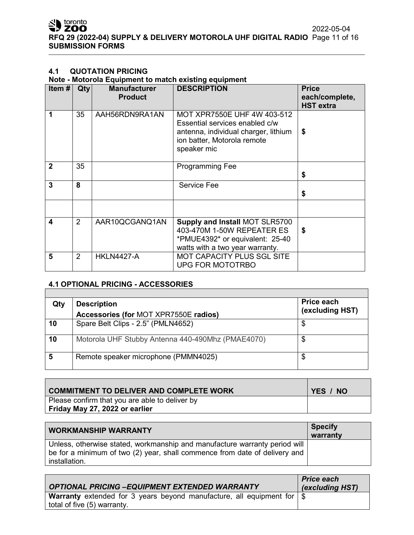# **4.1 QUOTATION PRICING**

# **Note - Motorola Equipment to match existing equipment**

| Item#            | $Q$ ty         | <b>Manufacturer</b><br><b>Product</b> | <b>DESCRIPTION</b>                                                                                                                                  | <b>Price</b><br>each/complete,<br><b>HST</b> extra |
|------------------|----------------|---------------------------------------|-----------------------------------------------------------------------------------------------------------------------------------------------------|----------------------------------------------------|
| 1                | 35             | AAH56RDN9RA1AN                        | MOT XPR7550E UHF 4W 403-512<br>Essential services enabled c/w<br>antenna, individual charger, lithium<br>ion batter, Motorola remote<br>speaker mic | \$                                                 |
| $\mathbf 2$      | 35             |                                       | <b>Programming Fee</b>                                                                                                                              | \$                                                 |
| 3                | 8              |                                       | Service Fee                                                                                                                                         | \$                                                 |
| $\boldsymbol{4}$ | $\mathcal{P}$  | AAR10QCGANQ1AN                        | <b>Supply and Install MOT SLR5700</b><br>403-470M 1-50W REPEATER ES<br>*PMUE4392* or equivalent: 25-40<br>watts with a two year warranty.           | \$                                                 |
| 5                | $\overline{2}$ | <b>HKLN4427-A</b>                     | <b>MOT CAPACITY PLUS SGL SITE</b><br>UPG FOR MOTOTRBO                                                                                               |                                                    |

# **4.1 OPTIONAL PRICING - ACCESSORIES**

| Qty | <b>Description</b>                                | Price each      |
|-----|---------------------------------------------------|-----------------|
|     | Accessories (for MOT XPR7550E radios)             | (excluding HST) |
| 10  | Spare Belt Clips - 2.5" (PMLN4652)                | \$              |
| 10  | Motorola UHF Stubby Antenna 440-490Mhz (PMAE4070) | \$              |
|     | Remote speaker microphone (PMMN4025)              |                 |

| <b>COMMITMENT TO DELIVER AND COMPLETE WORK</b> | YES / NO |
|------------------------------------------------|----------|
| Please confirm that you are able to deliver by |          |
| Friday May 27, 2022 or earlier                 |          |

| <b>WORKMANSHIP WARRANTY</b>                                                                                                                                               | <b>Specify</b><br>warranty |
|---------------------------------------------------------------------------------------------------------------------------------------------------------------------------|----------------------------|
| Unless, otherwise stated, workmanship and manufacture warranty period will<br>be for a minimum of two (2) year, shall commence from date of delivery and<br>installation. |                            |

| <b>OPTIONAL PRICING -EQUIPMENT EXTENDED WARRANTY</b>                                                                    | <b>Price each</b><br>(excluding HST) |
|-------------------------------------------------------------------------------------------------------------------------|--------------------------------------|
| <b>Warranty</b> extended for 3 years beyond manufacture, all equipment for $\frac{1}{3}$<br>total of five (5) warranty. |                                      |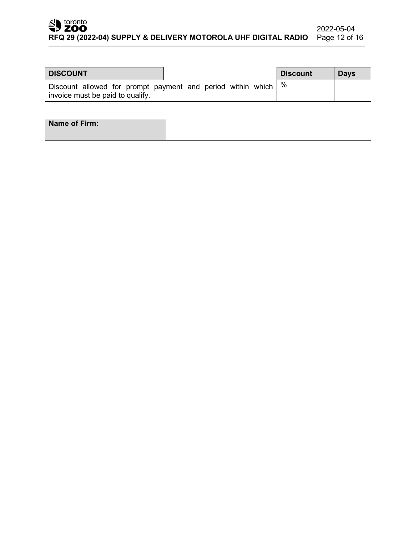### SD toronto 2022-05-04 **RFQ 29 (2022-04) SUPPLY & DELIVERY MOTOROLA UHF DIGITAL RADIO** Page 12 of 16

| <b>DISCOUNT</b>                                                                                          |  |  | <b>Discount</b> | <b>Days</b> |
|----------------------------------------------------------------------------------------------------------|--|--|-----------------|-------------|
| Discount allowed for prompt payment and period within which $\mid\%$<br>invoice must be paid to qualify. |  |  |                 |             |

| Name of Firm: |  |  |
|---------------|--|--|
|               |  |  |
|               |  |  |
|               |  |  |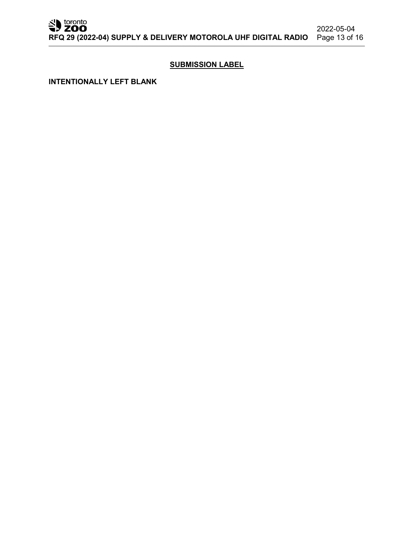# **SUBMISSION LABEL**

**INTENTIONALLY LEFT BLANK**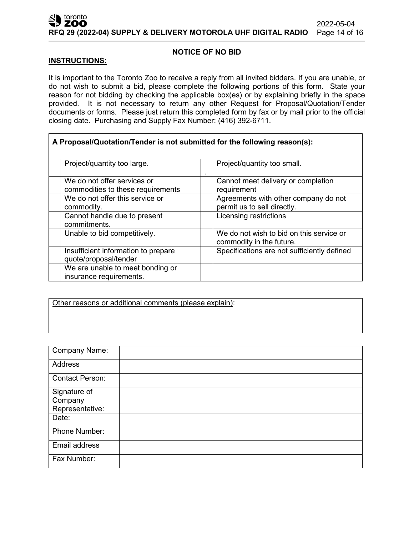### toronto 2022-05-04 **RFQ 29 (2022-04) SUPPLY & DELIVERY MOTOROLA UHF DIGITAL RADIO** Page 14 of 16

### **NOTICE OF NO BID**

### **INSTRUCTIONS:**

It is important to the Toronto Zoo to receive a reply from all invited bidders. If you are unable, or do not wish to submit a bid, please complete the following portions of this form. State your reason for not bidding by checking the applicable box(es) or by explaining briefly in the space provided. It is not necessary to return any other Request for Proposal/Quotation/Tender documents or forms. Please just return this completed form by fax or by mail prior to the official closing date. Purchasing and Supply Fax Number: (416) 392-6711.

٦

| A Proposal/Quotation/Tender is not submitted for the following reason(s): |                                                                      |
|---------------------------------------------------------------------------|----------------------------------------------------------------------|
| Project/quantity too large.                                               | Project/quantity too small.                                          |
| We do not offer services or<br>commodities to these requirements          | Cannot meet delivery or completion<br>requirement                    |
| We do not offer this service or<br>commodity.                             | Agreements with other company do not<br>permit us to sell directly.  |
| Cannot handle due to present<br>commitments.                              | Licensing restrictions                                               |
| Unable to bid competitively.                                              | We do not wish to bid on this service or<br>commodity in the future. |
| Insufficient information to prepare<br>quote/proposal/tender              | Specifications are not sufficiently defined                          |
| We are unable to meet bonding or<br>insurance requirements.               |                                                                      |

Other reasons or additional comments (please explain):

| <b>Company Name:</b>   |  |
|------------------------|--|
| <b>Address</b>         |  |
| <b>Contact Person:</b> |  |
| Signature of           |  |
| Company                |  |
| Representative:        |  |
| Date:                  |  |
| Phone Number:          |  |
| Email address          |  |
| Fax Number:            |  |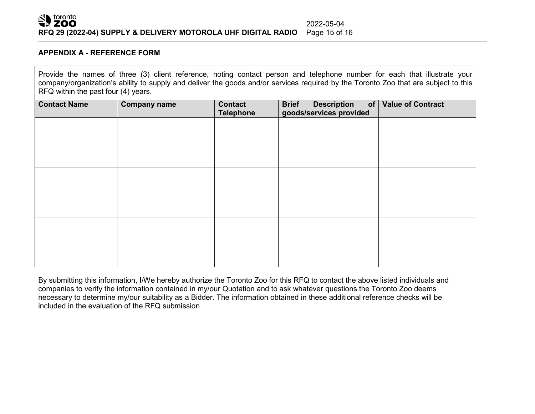

### **APPENDIX A - REFERENCE FORM**

Provide the names of three (3) client reference, noting contact person and telephone number for each that illustrate your company/organization's ability to supply and deliver the goods and/or services required by the Toronto Zoo that are subject to this RFQ within the past four (4) years.

| <b>Contact Name</b> | <b>Company name</b> | <b>Contact</b><br><b>Telephone</b> | <b>Description</b><br><b>Brief</b><br>of<br>goods/services provided | <b>Value of Contract</b> |
|---------------------|---------------------|------------------------------------|---------------------------------------------------------------------|--------------------------|
|                     |                     |                                    |                                                                     |                          |
|                     |                     |                                    |                                                                     |                          |
|                     |                     |                                    |                                                                     |                          |
|                     |                     |                                    |                                                                     |                          |
|                     |                     |                                    |                                                                     |                          |
|                     |                     |                                    |                                                                     |                          |
|                     |                     |                                    |                                                                     |                          |
|                     |                     |                                    |                                                                     |                          |
|                     |                     |                                    |                                                                     |                          |

By submitting this information, I/We hereby authorize the Toronto Zoo for this RFQ to contact the above listed individuals and companies to verify the information contained in my/our Quotation and to ask whatever questions the Toronto Zoo deems necessary to determine my/our suitability as a Bidder. The information obtained in these additional reference checks will be included in the evaluation of the RFQ submission